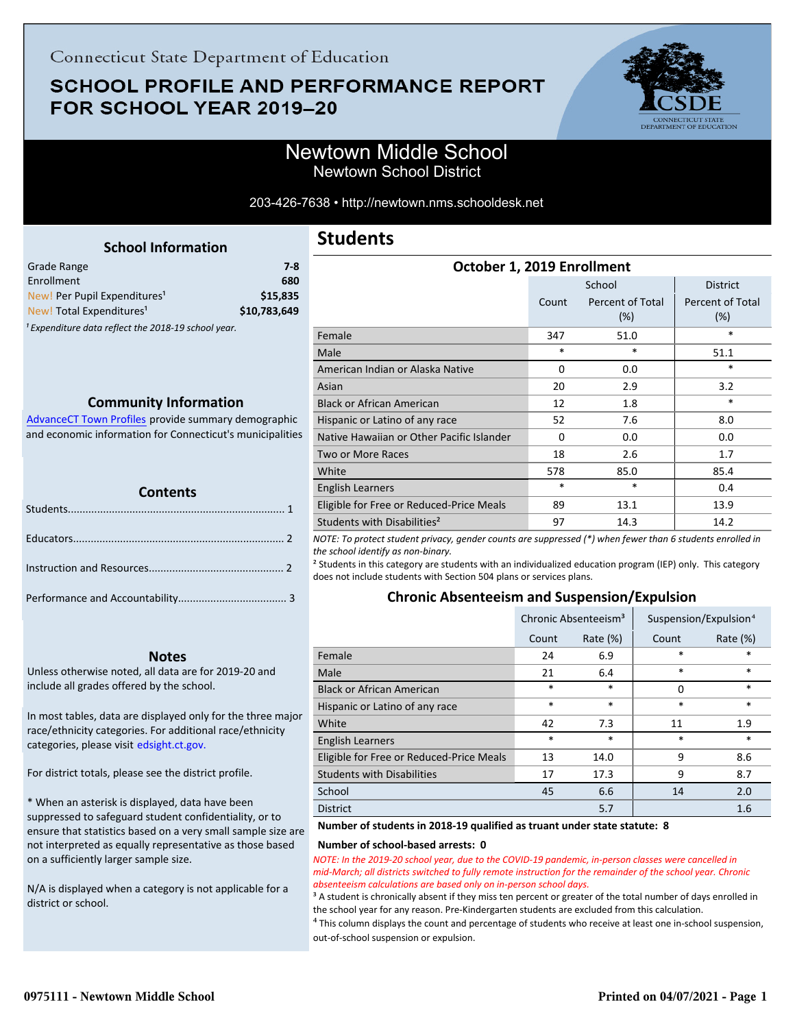# **SCHOOL PROFILE AND PERFORMANCE REPORT** FOR SCHOOL YEAR 2019-20



203-426-7638 • http://newtown.nms.schooldesk.net

<span id="page-0-0"></span>

| <b>School Information</b>                                      |              |
|----------------------------------------------------------------|--------------|
| Grade Range                                                    | $7 - 8$      |
| Enrollment                                                     | 680          |
| New! Per Pupil Expenditures <sup>1</sup>                       | \$15.835     |
| New! Total Expenditures <sup>1</sup>                           | \$10.783.649 |
| <sup>1</sup> Expenditure data reflect the 2018-19 school year. |              |

### **Community Information**

AdvanceCT Town Profiles provide summary demographic  [and economic information for Connecticut's municipalities](http://www.cerc.com/townprofiles/)

| <b>TELERA</b><br><b>Contents</b> |  |  |  |
|----------------------------------|--|--|--|
|                                  |  |  |  |
|                                  |  |  |  |
|                                  |  |  |  |
|                                  |  |  |  |

### **Notes**

Unless otherwise noted, all data are for 2019-20 and include all grades offered by the school.

[In most tables, data are displayed only for the three major](http://edsight.ct.gov/) race/ethnicity categories. For additional race/ethnicity categories, please visit edsight.ct.gov.

For district totals, please see the district profile.

\* When an asterisk is displayed, data have been suppressed to safeguard student confidentiality, or to ensure that statistics based on a very small sample size are not interpreted as equally representative as those based on a sufficiently larger sample size.

N/A is displayed when a category is not applicable for a district or school.

# **Students**

| OCLODEL 1, 2013 ENTOINMENT                |          |                         |                         |  |
|-------------------------------------------|----------|-------------------------|-------------------------|--|
|                                           |          | School                  | <b>District</b>         |  |
|                                           | Count    | Percent of Total<br>(%) | Percent of Total<br>(%) |  |
| Female                                    | 347      | 51.0                    | *                       |  |
| Male                                      | $\ast$   | *                       | 51.1                    |  |
| American Indian or Alaska Native          | 0        | 0.0                     | *                       |  |
| Asian                                     | 20       | 2.9                     | 3.2                     |  |
| <b>Black or African American</b>          | 12       | 1.8                     | $\ast$                  |  |
| Hispanic or Latino of any race            | 52       | 7.6                     | 8.0                     |  |
| Native Hawaiian or Other Pacific Islander | $\Omega$ | 0.0                     | 0.0                     |  |
| Two or More Races                         | 18       | 2.6                     | 1.7                     |  |
| White                                     | 578      | 85.0                    | 85.4                    |  |
| <b>English Learners</b>                   | *        | *                       | 0.4                     |  |
| Eligible for Free or Reduced-Price Meals  | 89       | 13.1                    | 13.9                    |  |
| Students with Disabilities <sup>2</sup>   | 97       | 14.3                    | 14.2                    |  |

**October 1, 2019 Enrollment**

*NOTE: To protect student privacy, gender counts are suppressed (\*) when fewer than 6 students enrolled in the school identify as non-binary.*

² Students in this category are students with an individualized education program (IEP) only. This category does not include students with Section 504 plans or services plans.

### **Chronic Absenteeism and Suspension/Expulsion**

|                                          | Chronic Absenteeism <sup>3</sup> |             | Suspension/Expulsion <sup>4</sup> |             |
|------------------------------------------|----------------------------------|-------------|-----------------------------------|-------------|
|                                          | Count                            | Rate $(\%)$ | Count                             | Rate $(\%)$ |
| Female                                   | 24                               | 6.9         | *                                 | *           |
| Male                                     | 21                               | 6.4         | *                                 | $\ast$      |
| <b>Black or African American</b>         | $\ast$                           | $\ast$      | 0                                 | $\ast$      |
| Hispanic or Latino of any race           | $\ast$                           | $\ast$      | *                                 | *           |
| White                                    | 42                               | 7.3         | 11                                | 1.9         |
| <b>English Learners</b>                  | $\ast$                           | $\ast$      | $\ast$                            | *           |
| Eligible for Free or Reduced-Price Meals | 13                               | 14.0        | 9                                 | 8.6         |
| <b>Students with Disabilities</b>        | 17                               | 17.3        | 9                                 | 8.7         |
| School                                   | 45                               | 6.6         | 14                                | 2.0         |
| <b>District</b>                          |                                  | 5.7         |                                   | 1.6         |

#### **Number of students in 2018-19 qualified as truant under state statute: 8**

#### **Number of school-based arrests: 0**

*NOTE: In the 2019-20 school year, due to the COVID-19 pandemic, in-person classes were cancelled in mid-March; all districts switched to fully remote instruction for the remainder of the school year. Chronic absenteeism calculations are based only on in-person school days.*

<sup>3</sup> A student is chronically absent if they miss ten percent or greater of the total number of days enrolled in the school year for any reason. Pre-Kindergarten students are excluded from this calculation.

 $4$  This column displays the count and percentage of students who receive at least one in-school suspension, out-of-school suspension or expulsion.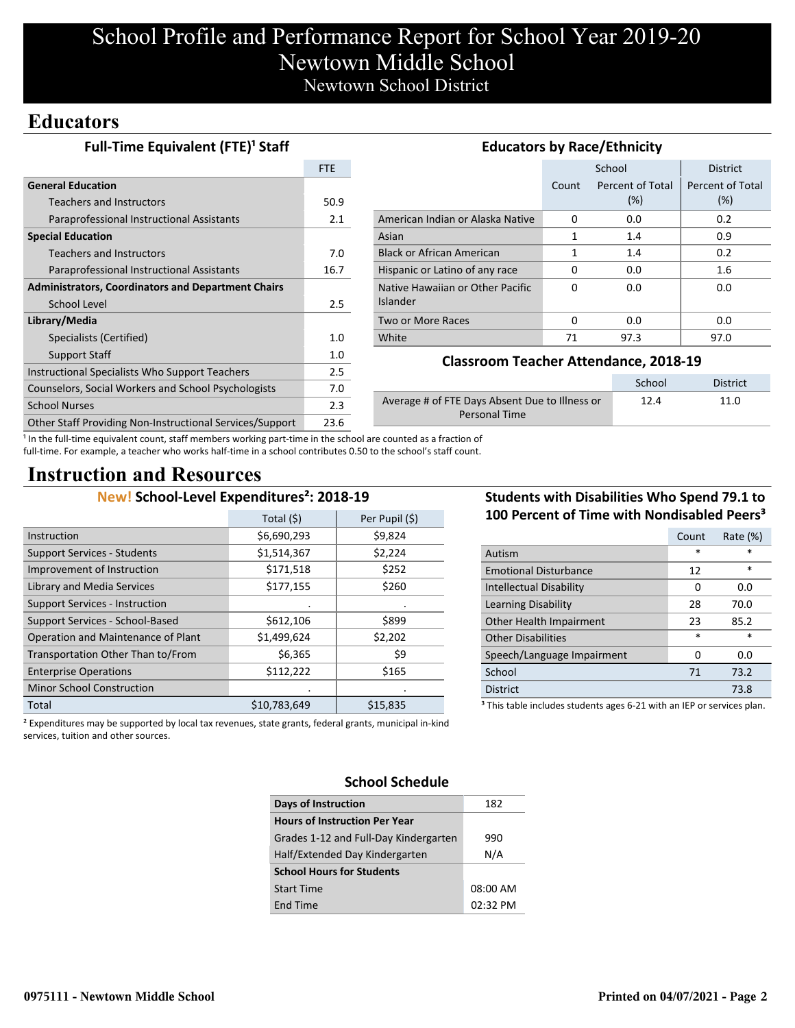# School Profile and Performance Report for School Year 2019-20 Newtown Middle School Newtown School District

# **Educators**

Gen

Spec

Libr

| <b>Full-Time Equivalent (FTE)<sup>1</sup> Staff</b><br><b>Educators by Race/Ethnicity</b> |      |                                                        |          |                  |                  |
|-------------------------------------------------------------------------------------------|------|--------------------------------------------------------|----------|------------------|------------------|
|                                                                                           | FTE  |                                                        |          | School           | <b>District</b>  |
| <b>General Education</b>                                                                  |      |                                                        | Count    | Percent of Total | Percent of Total |
| Teachers and Instructors                                                                  | 50.9 |                                                        |          | (%)              | (%)              |
| Paraprofessional Instructional Assistants                                                 | 2.1  | American Indian or Alaska Native                       | $\Omega$ | 0.0              | 0.2              |
| <b>Special Education</b>                                                                  |      | Asian                                                  | 1        | 1.4              | 0.9              |
| Teachers and Instructors                                                                  | 7.0  | <b>Black or African American</b>                       |          | 1.4              | 0.2              |
| Paraprofessional Instructional Assistants                                                 | 16.7 | Hispanic or Latino of any race                         | 0        | 0.0              | $1.6\,$          |
| <b>Administrators, Coordinators and Department Chairs</b>                                 |      | Native Hawaiian or Other Pacific                       | $\Omega$ | 0.0              | 0.0              |
| School Level                                                                              | 2.5  | Islander                                               |          |                  |                  |
| Library/Media                                                                             |      | Two or More Races                                      | $\Omega$ | 0.0              | 0.0              |
| Specialists (Certified)                                                                   | 1.0  | White                                                  | 71       | 97.3             | 97.0             |
| Support Staff                                                                             | 1.0  |                                                        |          |                  |                  |
| <b>Instructional Specialists Who Support Teachers</b>                                     | 2.5  | <b>Classroom Teacher Attendance, 2018-19</b>           |          |                  |                  |
| Counselors, Social Workers and School Psychologists                                       | 7.0  |                                                        |          | School           | <b>District</b>  |
| School Nurses                                                                             | 2.3  | Average # of FTE Days Absent Due to Illness or<br>12.4 |          | 11.0             |                  |
| Other Staff Providing Non-Instructional Services/Support                                  | 23.6 | <b>Personal Time</b>                                   |          |                  |                  |

<sup>1</sup> In the full-time equivalent count, staff members working part-time in the school are counted as a fraction of full-time. For example, a teacher who works half-time in a school contributes 0.50 to the school's staff count.

# **Instruction and Resources**

## **New! School-Level Expenditures²: 2018-19**

|                                       | Total $(5)$  | Per Pupil (\$) |
|---------------------------------------|--------------|----------------|
| Instruction                           | \$6,690,293  | \$9,824        |
| <b>Support Services - Students</b>    | \$1,514,367  | \$2,224        |
| Improvement of Instruction            | \$171,518    | \$252          |
| Library and Media Services            | \$177,155    | \$260          |
| <b>Support Services - Instruction</b> |              |                |
| Support Services - School-Based       | \$612,106    | \$899          |
| Operation and Maintenance of Plant    | \$1,499,624  | \$2,202        |
| Transportation Other Than to/From     | \$6,365      | \$9            |
| <b>Enterprise Operations</b>          | \$112,222    | \$165          |
| <b>Minor School Construction</b>      |              |                |
| Total                                 | \$10.783.649 | \$15,835       |

## **Students with Disabilities Who Spend 79.1 to 100 Percent of Time with Nondisabled Peers³**

|                              | Count  | Rate (%) |
|------------------------------|--------|----------|
| Autism                       | *      | $\ast$   |
| <b>Emotional Disturbance</b> | 12     | $\ast$   |
| Intellectual Disability      | O      | 0.0      |
| Learning Disability          | 28     | 70.0     |
| Other Health Impairment      | 23     | 85.2     |
| <b>Other Disabilities</b>    | $\ast$ | $\ast$   |
| Speech/Language Impairment   |        | 0.0      |
| School                       | 71     | 73.2     |
| <b>District</b>              |        | 73.8     |
|                              |        |          |

<sup>3</sup> This table includes students ages 6-21 with an IEP or services plan.

² Expenditures may be supported by local tax revenues, state grants, federal grants, municipal in-kind services, tuition and other sources.

## **School Schedule**

| <b>Days of Instruction</b>            | 182      |
|---------------------------------------|----------|
| <b>Hours of Instruction Per Year</b>  |          |
| Grades 1-12 and Full-Day Kindergarten | 990      |
| Half/Extended Day Kindergarten        | N/A      |
| <b>School Hours for Students</b>      |          |
| <b>Start Time</b>                     | 08:00 AM |
| End Time                              | 02:32 PM |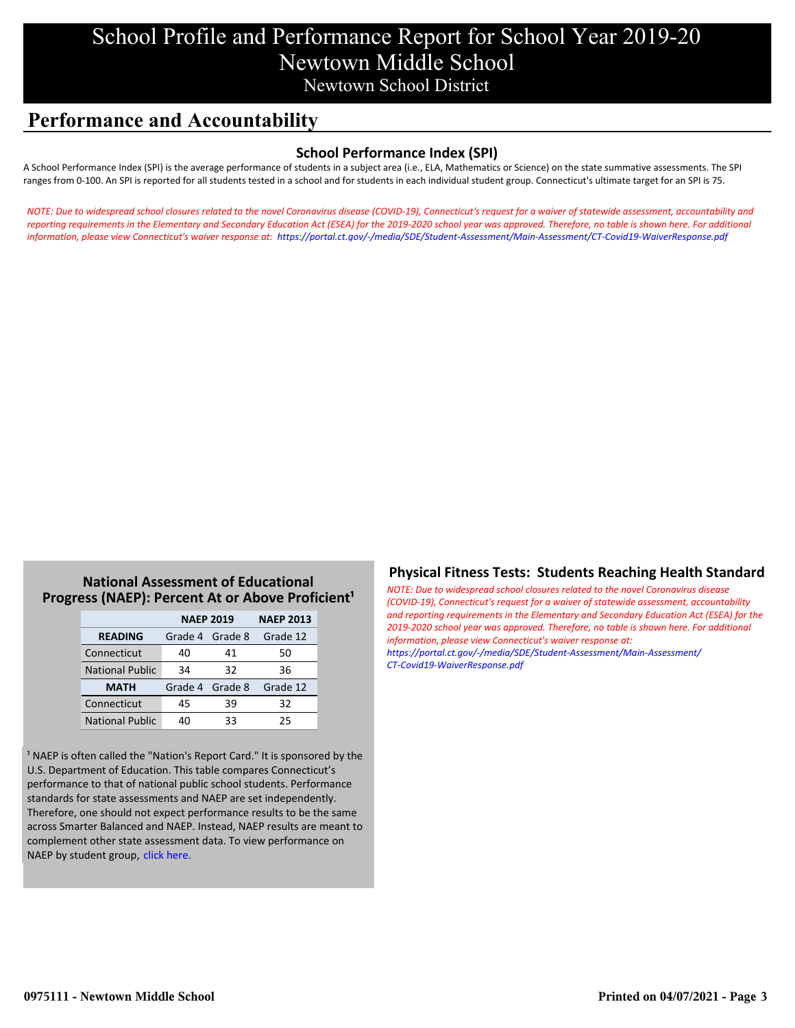# School Profile and Performance Report for School Year 2019-20 Newtown Middle School Newtown School District

# **Performance and Accountability**

### **School Performance Index (SPI)**

A School Performance Index (SPI) is the average performance of students in a subject area (i.e., ELA, Mathematics or Science) on the state summative assessments. The SPI ranges from 0-100. An SPI is reported for all students tested in a school and for students in each individual student group. Connecticut's ultimate target for an SPI is 75.

*[NOTE: Due to widespread school closures related to the novel Coronavirus disease \(COVID-19\), Connecticut's request for a waiver of statewide assessment, accountability and](https://portal.ct.gov/-/media/SDE/Student-Assessment/Main-Assessment/CT-Covid19-WaiverResponse.pdf) reporting requirements in the Elementary and Secondary Education Act (ESEA) for the 2019-2020 school year was approved. Therefore, no table is shown here. For additional information, please view Connecticut's waiver response at: https://portal.ct.gov/-/media/SDE/Student-Assessment/Main-Assessment/CT-Covid19-WaiverResponse.pdf*

### **National Assessment of Educational Progress (NAEP): Percent At or Above Proficient<sup>1</sup>**

|                        | <b>NAEP 2019</b> | <b>NAEP 2013</b> |          |
|------------------------|------------------|------------------|----------|
| <b>READING</b>         | Grade 4 Grade 8  |                  | Grade 12 |
| Connecticut            | 40               | 41               | 50       |
| <b>National Public</b> | 34               | 32               | 36       |
| <b>MATH</b>            | Grade 4 Grade 8  |                  | Grade 12 |
| Connecticut            | 45               | 39               | 32       |
| <b>National Public</b> | 40               | 33               | 25       |

<sup>1</sup> NAEP is often called the "Nation's Report Card." It is sponsored by the U.S. Department of Education. This table compares Connecticut's performance to that of national public school students. Performance standards for state assessments and NAEP are set independently. Therefore, one should not expect performance results to be the same across Smarter Balanced and NAEP. Instead, NAEP results are meant to complement other state assessment data. To view performance on NAEP by student group, click here.

### **Physical Fitness Tests: Students Reaching Health Standard**

*NOTE: Due to widespread school closures related to the novel Coronavirus disease (COVID-19), Connecticut's request for a waiver of statewide assessment, accountability [and reporting requirements in the Elementary and Secondary Education Act \(ESEA\) for the](https://portal.ct.gov/-/media/SDE/Student-Assessment/Main-Assessment/CT-Covid19-WaiverResponse.pdf) 2019-2020 school year was approved. Therefore, no table is shown here. For additional information, please view Connecticut's waiver response at: https://portal.ct.gov/-/media/SDE/Student-Assessment/Main-Assessment/ CT-Covid19-WaiverResponse.pdf*